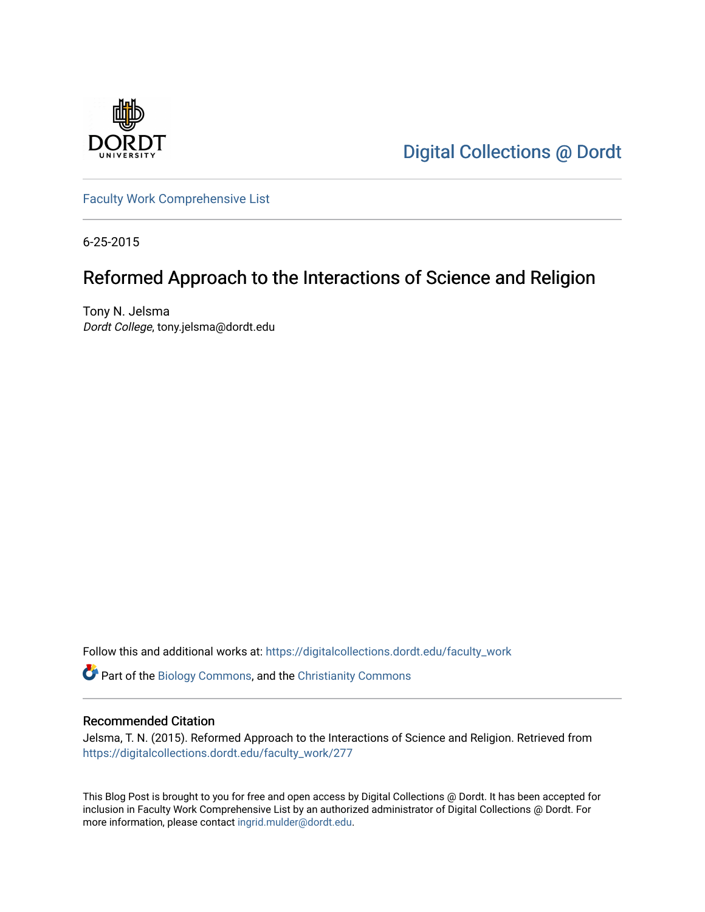

[Digital Collections @ Dordt](https://digitalcollections.dordt.edu/) 

[Faculty Work Comprehensive List](https://digitalcollections.dordt.edu/faculty_work)

6-25-2015

# Reformed Approach to the Interactions of Science and Religion

Tony N. Jelsma Dordt College, tony.jelsma@dordt.edu

Follow this and additional works at: [https://digitalcollections.dordt.edu/faculty\\_work](https://digitalcollections.dordt.edu/faculty_work?utm_source=digitalcollections.dordt.edu%2Ffaculty_work%2F277&utm_medium=PDF&utm_campaign=PDFCoverPages) 

Part of the [Biology Commons,](http://network.bepress.com/hgg/discipline/41?utm_source=digitalcollections.dordt.edu%2Ffaculty_work%2F277&utm_medium=PDF&utm_campaign=PDFCoverPages) and the [Christianity Commons](http://network.bepress.com/hgg/discipline/1181?utm_source=digitalcollections.dordt.edu%2Ffaculty_work%2F277&utm_medium=PDF&utm_campaign=PDFCoverPages)

### Recommended Citation

Jelsma, T. N. (2015). Reformed Approach to the Interactions of Science and Religion. Retrieved from [https://digitalcollections.dordt.edu/faculty\\_work/277](https://digitalcollections.dordt.edu/faculty_work/277?utm_source=digitalcollections.dordt.edu%2Ffaculty_work%2F277&utm_medium=PDF&utm_campaign=PDFCoverPages) 

This Blog Post is brought to you for free and open access by Digital Collections @ Dordt. It has been accepted for inclusion in Faculty Work Comprehensive List by an authorized administrator of Digital Collections @ Dordt. For more information, please contact [ingrid.mulder@dordt.edu.](mailto:ingrid.mulder@dordt.edu)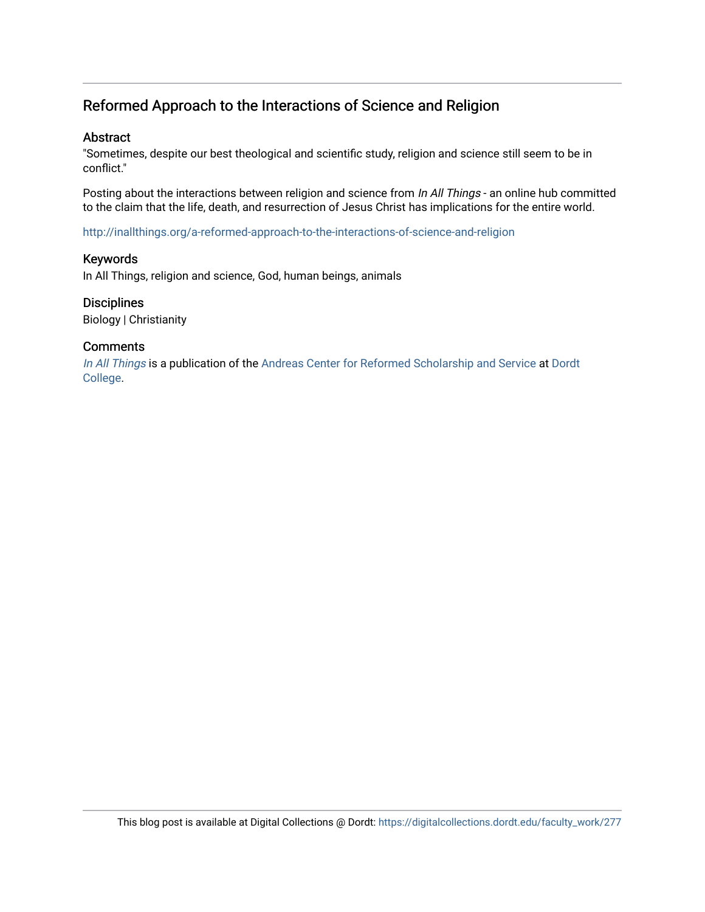## Reformed Approach to the Interactions of Science and Religion

### Abstract

"Sometimes, despite our best theological and scientific study, religion and science still seem to be in conflict."

Posting about the interactions between religion and science from In All Things - an online hub committed to the claim that the life, death, and resurrection of Jesus Christ has implications for the entire world.

<http://inallthings.org/a-reformed-approach-to-the-interactions-of-science-and-religion>

### Keywords

In All Things, religion and science, God, human beings, animals

### **Disciplines**

Biology | Christianity

### **Comments**

[In All Things](http://inallthings.org/) is a publication of the [Andreas Center for Reformed Scholarship and Service](http://www.dordt.edu/services_support/andreas_center/) at Dordt [College](http://www.dordt.edu/).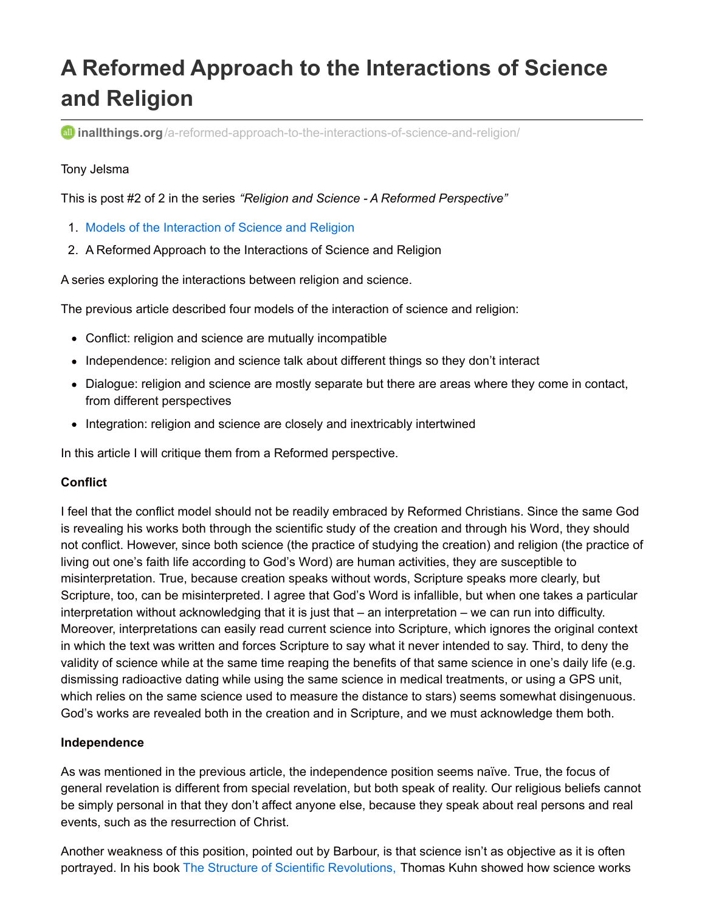# **A Reformed Approach to the Interactions of Science and Religion**

**all inallthings.org**[/a-reformed-approach-to-the-interactions-of-science-and-religion/](http://inallthings.org/a-reformed-approach-to-the-interactions-of-science-and-religion/)

### Tony Jelsma

This is post #2 of 2 in the series *"Religion and Science - A Reformed Perspective"*

- 1. Models of the [Interaction](http://inallthings.org/models-of-the-interaction-of-science-and-religion/) of Science and Religion
- 2. A Reformed Approach to the Interactions of Science and Religion

A series exploring the interactions between religion and science.

The previous article described four models of the interaction of science and religion:

- Conflict: religion and science are mutually incompatible
- Independence: religion and science talk about different things so they don't interact
- Dialogue: religion and science are mostly separate but there are areas where they come in contact, from different perspectives
- Integration: religion and science are closely and inextricably intertwined

In this article I will critique them from a Reformed perspective.

### **Conflict**

I feel that the conflict model should not be readily embraced by Reformed Christians. Since the same God is revealing his works both through the scientific study of the creation and through his Word, they should not conflict. However, since both science (the practice of studying the creation) and religion (the practice of living out one's faith life according to God's Word) are human activities, they are susceptible to misinterpretation. True, because creation speaks without words, Scripture speaks more clearly, but Scripture, too, can be misinterpreted. I agree that God's Word is infallible, but when one takes a particular interpretation without acknowledging that it is just that – an interpretation – we can run into difficulty. Moreover, interpretations can easily read current science into Scripture, which ignores the original context in which the text was written and forces Scripture to say what it never intended to say. Third, to deny the validity of science while at the same time reaping the benefits of that same science in one's daily life (e.g. dismissing radioactive dating while using the same science in medical treatments, or using a GPS unit, which relies on the same science used to measure the distance to stars) seems somewhat disingenuous. God's works are revealed both in the creation and in Scripture, and we must acknowledge them both.

### **Independence**

As was mentioned in the previous article, the independence position seems naïve. True, the focus of general revelation is different from special revelation, but both speak of reality. Our religious beliefs cannot be simply personal in that they don't affect anyone else, because they speak about real persons and real events, such as the resurrection of Christ.

Another weakness of this position, pointed out by Barbour, is that science isn't as objective as it is often portrayed. In his book The Structure of Scientific [Revolutions,](http://dordt.worldcat.org/title/structure-of-scientific-revolutions/oclc/34548541&referer=brief_results) Thomas Kuhn showed how science works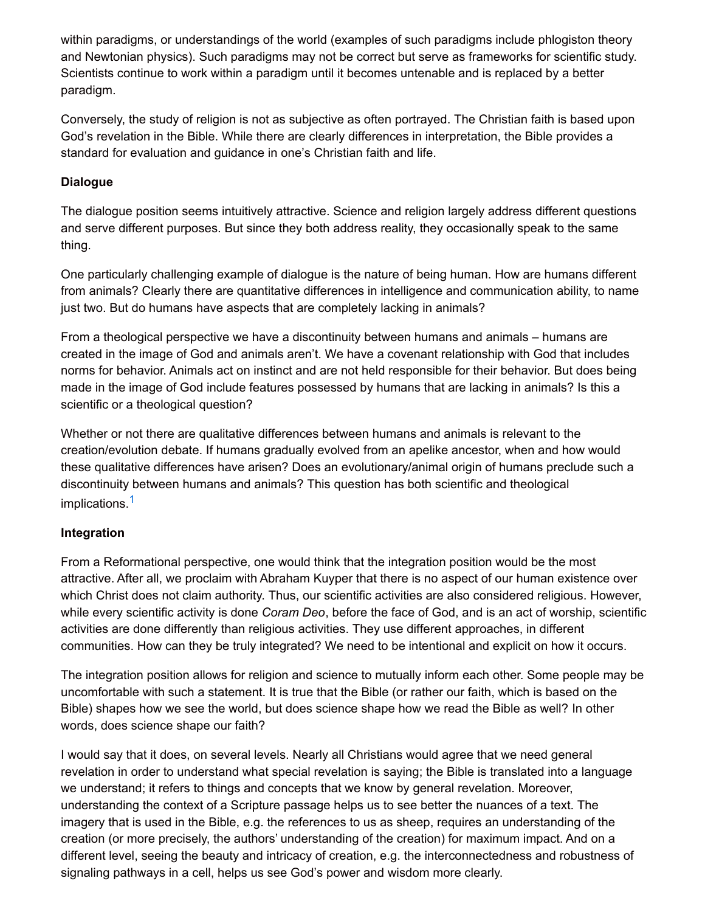within paradigms, or understandings of the world (examples of such paradigms include phlogiston theory and Newtonian physics). Such paradigms may not be correct but serve as frameworks for scientific study. Scientists continue to work within a paradigm until it becomes untenable and is replaced by a better paradigm.

Conversely, the study of religion is not as subjective as often portrayed. The Christian faith is based upon God's revelation in the Bible. While there are clearly differences in interpretation, the Bible provides a standard for evaluation and guidance in one's Christian faith and life.

### **Dialogue**

The dialogue position seems intuitively attractive. Science and religion largely address different questions and serve different purposes. But since they both address reality, they occasionally speak to the same thing.

One particularly challenging example of dialogue is the nature of being human. How are humans different from animals? Clearly there are quantitative differences in intelligence and communication ability, to name just two. But do humans have aspects that are completely lacking in animals?

From a theological perspective we have a discontinuity between humans and animals – humans are created in the image of God and animals aren't. We have a covenant relationship with God that includes norms for behavior. Animals act on instinct and are not held responsible for their behavior. But does being made in the image of God include features possessed by humans that are lacking in animals? Is this a scientific or a theological question?

Whether or not there are qualitative differences between humans and animals is relevant to the creation/evolution debate. If humans gradually evolved from an apelike ancestor, when and how would these qualitative differences have arisen? Does an evolutionary/animal origin of humans preclude such a discontinuity between humans and animals? This question has both scientific and theological implications. [1](http://inallthings.org/a-reformed-approach-to-the-interactions-of-science-and-religion/#fn1-4963)

### **Integration**

From a Reformational perspective, one would think that the integration position would be the most attractive. After all, we proclaim with Abraham Kuyper that there is no aspect of our human existence over which Christ does not claim authority. Thus, our scientific activities are also considered religious. However, while every scientific activity is done *Coram Deo*, before the face of God, and is an act of worship, scientific activities are done differently than religious activities. They use different approaches, in different communities. How can they be truly integrated? We need to be intentional and explicit on how it occurs.

The integration position allows for religion and science to mutually inform each other. Some people may be uncomfortable with such a statement. It is true that the Bible (or rather our faith, which is based on the Bible) shapes how we see the world, but does science shape how we read the Bible as well? In other words, does science shape our faith?

I would say that it does, on several levels. Nearly all Christians would agree that we need general revelation in order to understand what special revelation is saying; the Bible is translated into a language we understand; it refers to things and concepts that we know by general revelation. Moreover, understanding the context of a Scripture passage helps us to see better the nuances of a text. The imagery that is used in the Bible, e.g. the references to us as sheep, requires an understanding of the creation (or more precisely, the authors' understanding of the creation) for maximum impact. And on a different level, seeing the beauty and intricacy of creation, e.g. the interconnectedness and robustness of signaling pathways in a cell, helps us see God's power and wisdom more clearly.